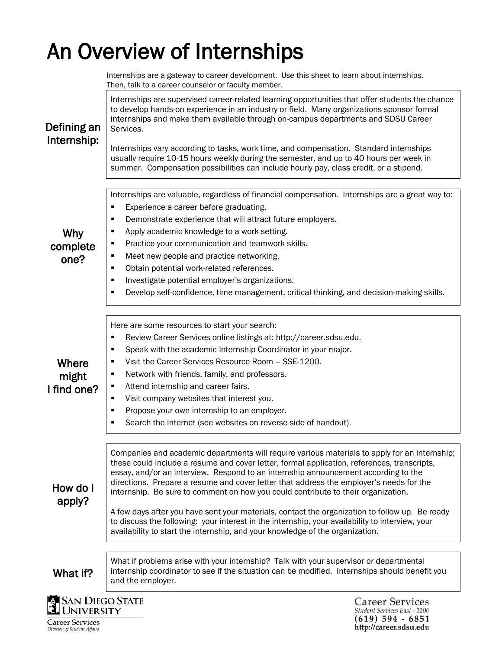# An Overview of Internships

 Then, talk to a career counselor or faculty member. Internships are supervised career-related learning opportunities that offer students the chance to develop hands-on experience in an industry or field. Many organizations sponsor formal internships and make them available through on-campus departments and SDSU Career Defining an Services. Internship: Internships vary according to tasks, work time, and compensation. Standard internships usually require 10-15 hours weekly during the semester, and up to 40 hours per week in summer. Compensation possibilities can include hourly pay, class credit, or a stipend. Internships are valuable, regardless of financial compensation. Internships are a great way to: **Experience a career before graduating. •** Demonstrate experience that will attract future employers. **Apply academic knowledge to a work setting.** Why Practice your communication and teamwork skills. complete Meet new people and practice networking. one? **•** Obtain potential work-related references. **Investigate potential employer's organizations. Develop self-confidence, time management, critical thinking, and decision-making skills.** Here are some resources to start your search: Review Career Services online listings at: http://career.sdsu.edu. **Speak with the academic Internship Coordinator in your major.** Where Visit the Career Services Resource Room – SSE-1200. **Network with friends, family, and professors.** might ■ Attend internship and career fairs. I find one? Visit company websites that interest you. **Propose your own internship to an employer. Search the Internet (see websites on reverse side of handout).** Companies and academic departments will require various materials to apply for an internship; these could include a resume and cover letter, formal application, references, transcripts, essay, and/or an interview. Respond to an internship announcement according to the directions. Prepare a resume and cover letter that address the employer's needs for the How do I internship. Be sure to comment on how you could contribute to their organization. apply? A few days after you have sent your materials, contact the organization to follow up. Be ready to discuss the following: your interest in the internship, your availability to interview, your availability to start the internship, and your knowledge of the organization. What if problems arise with your internship? Talk with your supervisor or departmental internship coordinator to see if the situation can be modified. Internships should benefit you What if? and the employer.**SAN DIEGO STATE Career Services** UNIVERSITY

Internships are a gateway to career development. Use this sheet to learn about internships.